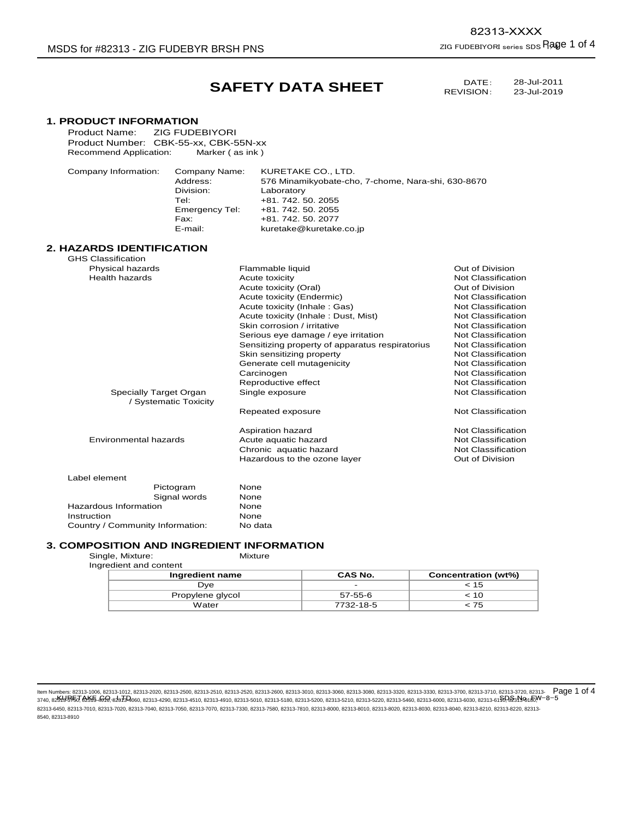## **SAFETY DATA SHEET**

DATE: REVISION:

23-Jul-2019

| <b>1. PRODUCT INFORMATION</b>                 |                                                 |                                                    |  |  |
|-----------------------------------------------|-------------------------------------------------|----------------------------------------------------|--|--|
| <b>ZIG FUDEBIYORI</b><br><b>Product Name:</b> |                                                 |                                                    |  |  |
| Product Number: CBK-55-xx, CBK-55N-xx         |                                                 |                                                    |  |  |
| Recommend Application:                        | Marker (as ink)                                 |                                                    |  |  |
| Company Information:                          | KURETAKE CO., LTD.                              |                                                    |  |  |
| Company Name:<br>Address:                     |                                                 | 576 Minamikyobate-cho, 7-chome, Nara-shi, 630-8670 |  |  |
| Division:                                     | Laboratory                                      |                                                    |  |  |
| Tel:                                          | +81.742.50.2055                                 |                                                    |  |  |
| <b>Emergency Tel:</b>                         | +81.742.50.2055                                 |                                                    |  |  |
| Fax:                                          | +81, 742, 50, 2077                              |                                                    |  |  |
| E-mail:                                       | kuretake@kuretake.co.jp                         |                                                    |  |  |
| <b>2. HAZARDS IDENTIFICATION</b>              |                                                 |                                                    |  |  |
| <b>GHS Classification</b>                     |                                                 |                                                    |  |  |
| Physical hazards                              | Flammable liquid                                | Out of Division                                    |  |  |
| <b>Health hazards</b>                         | Acute toxicity                                  | Not Classification                                 |  |  |
|                                               | Acute toxicity (Oral)                           | Out of Division                                    |  |  |
|                                               | Acute toxicity (Endermic)                       | <b>Not Classification</b>                          |  |  |
|                                               | Acute toxicity (Inhale: Gas)                    | <b>Not Classification</b>                          |  |  |
|                                               | Acute toxicity (Inhale: Dust, Mist)             | Not Classification                                 |  |  |
|                                               | Skin corrosion / irritative                     | Not Classification                                 |  |  |
|                                               | Serious eye damage / eye irritation             | Not Classification                                 |  |  |
|                                               | Sensitizing property of apparatus respiratorius | Not Classification                                 |  |  |
|                                               | Skin sensitizing property                       | <b>Not Classification</b>                          |  |  |
|                                               | Generate cell mutagenicity                      | <b>Not Classification</b>                          |  |  |
|                                               | Carcinogen                                      | Not Classification                                 |  |  |
|                                               | Reproductive effect                             | <b>Not Classification</b>                          |  |  |
| Specially Target Organ                        | Single exposure                                 | <b>Not Classification</b>                          |  |  |
| / Systematic Toxicity                         | Repeated exposure                               | Not Classification                                 |  |  |
|                                               |                                                 |                                                    |  |  |
|                                               | Aspiration hazard                               | <b>Not Classification</b>                          |  |  |
| <b>Environmental hazards</b>                  | Acute aquatic hazard                            | <b>Not Classification</b>                          |  |  |
|                                               | Chronic aquatic hazard                          | Not Classification                                 |  |  |
|                                               | Hazardous to the ozone layer                    | Out of Division                                    |  |  |
| Label element                                 |                                                 |                                                    |  |  |
| Pictogram                                     | None                                            |                                                    |  |  |
| Signal words                                  | None                                            |                                                    |  |  |
| Hazardous Information                         | None                                            |                                                    |  |  |
| Instruction                                   | None                                            |                                                    |  |  |
| Country / Community Information:              | No data                                         |                                                    |  |  |

# **3. COMPOSITION AND INGREDIENT INFORMATION**<br>Single, Mixture: Mixture Mixture

Single, Mixture: Ingredient and content

| Ingredient name  | <b>CAS No.</b>           | Concentration (wt%) |
|------------------|--------------------------|---------------------|
| Dve              | $\overline{\phantom{0}}$ | ະ 15                |
| Propylene glycol | 57-55-6                  | : 10                |
| Water            | 7732-18-5                | . 75                |

ltem Numbers: 82313-1006, 82313-1012, 82313-2020, 82313-2500, 82313-2520, 82313-2600, 82313-3000, 82313-3000, 82313-3080, 82313-3320, 82313-3330, 82313-3700, 82313-3710, 82313-3720, 82313-3720, 82313-8730, 82313-870, 8231 ltem Numbers: 82313-1006, 82313-1012, 82313-2020, 82313-2500, 82313-2520, 82313-3600, 82313-3300, 82313-3300, 82313-3320, 82313-3330, 82313-3770, 82313-3710, 82313-3720, 82313-67523 82313-6170, 82313-6170, 82313-6180, 823 82313-6450, 82313-7010, 82313-7020, 82313-7040, 82313-7050, 82313-7070, 82313-7330, 82313-7580, 82313-7810, 82313-8000, 82313-8010, 82313-8020, 82313-8030, 82313-8040, 82313-8210, 82313-8220, 82313- 8540, 82313-8910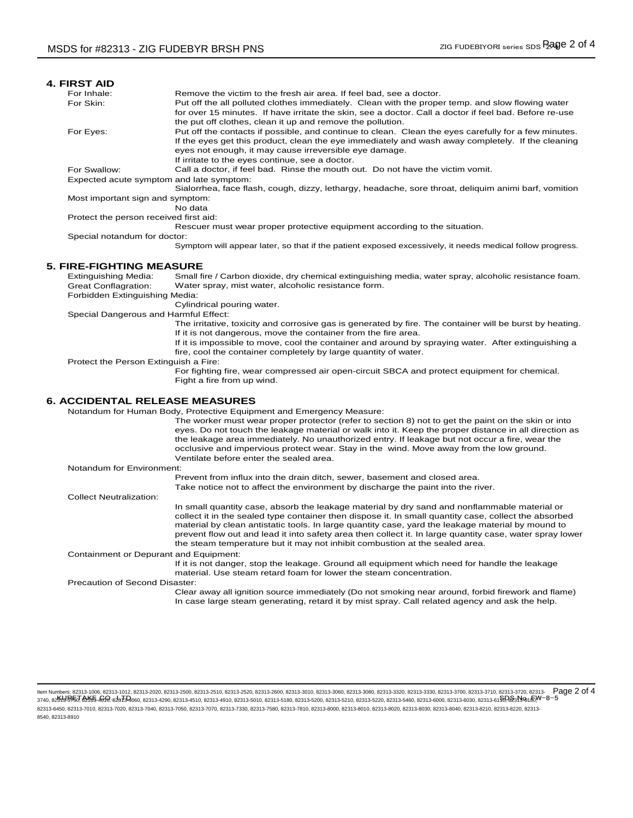| <b>4. FIRST AID</b>                      |                                                                                                                                                                                                            |
|------------------------------------------|------------------------------------------------------------------------------------------------------------------------------------------------------------------------------------------------------------|
| For Inhale:                              | Remove the victim to the fresh air area. If feel bad, see a doctor.                                                                                                                                        |
| For Skin:                                | Put off the all polluted clothes immediately. Clean with the proper temp. and slow flowing water<br>for over 15 minutes. If have irritate the skin, see a doctor. Call a doctor if feel bad. Before re-use |
|                                          | the put off clothes, clean it up and remove the pollution.                                                                                                                                                 |
| For Eyes:                                | Put off the contacts if possible, and continue to clean. Clean the eyes carefully for a few minutes.                                                                                                       |
|                                          | If the eyes get this product, clean the eye immediately and wash away completely. If the cleaning                                                                                                          |
|                                          | eyes not enough, it may cause irreversible eye damage.                                                                                                                                                     |
|                                          | If irritate to the eyes continue, see a doctor.                                                                                                                                                            |
| For Swallow:                             | Call a doctor, if feel bad. Rinse the mouth out. Do not have the victim vomit.                                                                                                                             |
| Expected acute symptom and late symptom: |                                                                                                                                                                                                            |
|                                          | Sialorrhea, face flash, cough, dizzy, lethargy, headache, sore throat, deliquim animi barf, vomition                                                                                                       |
| Most important sign and symptom:         | No data                                                                                                                                                                                                    |
| Protect the person received first aid:   |                                                                                                                                                                                                            |
|                                          | Rescuer must wear proper protective equipment according to the situation.                                                                                                                                  |
| Special notandum for doctor:             |                                                                                                                                                                                                            |
|                                          | Symptom will appear later, so that if the patient exposed excessively, it needs medical follow progress.                                                                                                   |
| <b>5. FIRE-FIGHTING MEASURE</b>          |                                                                                                                                                                                                            |
| Extinguishing Media:                     | Small fire / Carbon dioxide, dry chemical extinguishing media, water spray, alcoholic resistance foam.                                                                                                     |
| Great Conflagration:                     | Water spray, mist water, alcoholic resistance form.                                                                                                                                                        |
| Forbidden Extinguishing Media:           |                                                                                                                                                                                                            |
|                                          | Cylindrical pouring water.                                                                                                                                                                                 |
| Special Dangerous and Harmful Effect:    |                                                                                                                                                                                                            |
|                                          | The irritative, toxicity and corrosive gas is generated by fire. The container will be burst by heating.                                                                                                   |
|                                          | If it is not dangerous, move the container from the fire area.                                                                                                                                             |
|                                          | If it is impossible to move, cool the container and around by spraying water. After extinguishing a                                                                                                        |
|                                          | fire, cool the container completely by large quantity of water.                                                                                                                                            |
| Protect the Person Extinguish a Fire:    |                                                                                                                                                                                                            |
|                                          | For fighting fire, wear compressed air open-circuit SBCA and protect equipment for chemical.<br>Fight a fire from up wind.                                                                                 |
| <b>6. ACCIDENTAL RELEASE MEASURES</b>    |                                                                                                                                                                                                            |
|                                          | Notandum for Human Body, Protective Equipment and Emergency Measure:                                                                                                                                       |
|                                          | The worker must wear proper protector (refer to section 8) not to get the paint on the skin or into                                                                                                        |
|                                          | eyes. Do not touch the leakage material or walk into it. Keep the proper distance in all direction as                                                                                                      |
|                                          | the leakage area immediately. No unauthorized entry. If leakage but not occur a fire, wear the                                                                                                             |
|                                          | occlusive and impervious protect wear. Stay in the wind. Move away from the low ground.                                                                                                                    |
|                                          | Ventilate before enter the sealed area.                                                                                                                                                                    |
| Notandum for Environment:                |                                                                                                                                                                                                            |
|                                          | Prevent from influx into the drain ditch, sewer, basement and closed area.                                                                                                                                 |
|                                          | Take notice not to affect the environment by discharge the paint into the river.                                                                                                                           |
| <b>Collect Neutralization:</b>           |                                                                                                                                                                                                            |
|                                          | In small quantity case, absorb the leakage material by dry sand and nonflammable material or                                                                                                               |
|                                          | collect it in the sealed type container then dispose it. In small quantity case, collect the absorbed<br>material by clean antistatic tools. In large quantity case, yard the leakage material by mound to |
|                                          | prevent flow out and lead it into safety area then collect it. In large quantity case, water spray lower                                                                                                   |
|                                          | the steam temperature but it may not inhibit combustion at the sealed area.                                                                                                                                |
| Containment or Depurant and Equipment:   |                                                                                                                                                                                                            |
|                                          | If it is not danger, stop the leakage. Ground all equipment which need for handle the leakage                                                                                                              |
|                                          | material. Use steam retard foam for lower the steam concentration.                                                                                                                                         |
| Precaution of Second Disaster:           |                                                                                                                                                                                                            |
|                                          | Clear away all ignition source immediately (Do not smoking near around, forbid firework and flame)                                                                                                         |
|                                          | In case large steam generating, retard it by mist spray. Call related agency and ask the help.                                                                                                             |
|                                          |                                                                                                                                                                                                            |

ltem Numbers: 82313-1006, 82313-1012, 82313-2020, 82313-2500, 82313-2520, 82313-2600, 82313-3000, 82313-3000, 82313-3080, 82313-3320, 82313-3330, 82313-3700, 82313-3710, 82313-3720, 82313-3720, 82313-8730, 82313-870, 8231 ltem Numbers: 82313-1006, 82313-1012, 82313-2020, 82313-2500, 82313-2520, 82313-3600, 82313-3300, 82313-300, 82313-3320, 82313-3330, 82313-3700, 82313-3710, 82313-3720, 82313-67523 82313-6170, 82313-6180, 82313-6180, 8231 82313-6450, 82313-7010, 82313-7020, 82313-7040, 82313-7050, 82313-7070, 82313-7330, 82313-7580, 82313-7810, 82313-8000, 82313-8010, 82313-8020, 82313-8030, 82313-8040, 82313-8210, 82313-8220, 82313- 8540, 82313-8910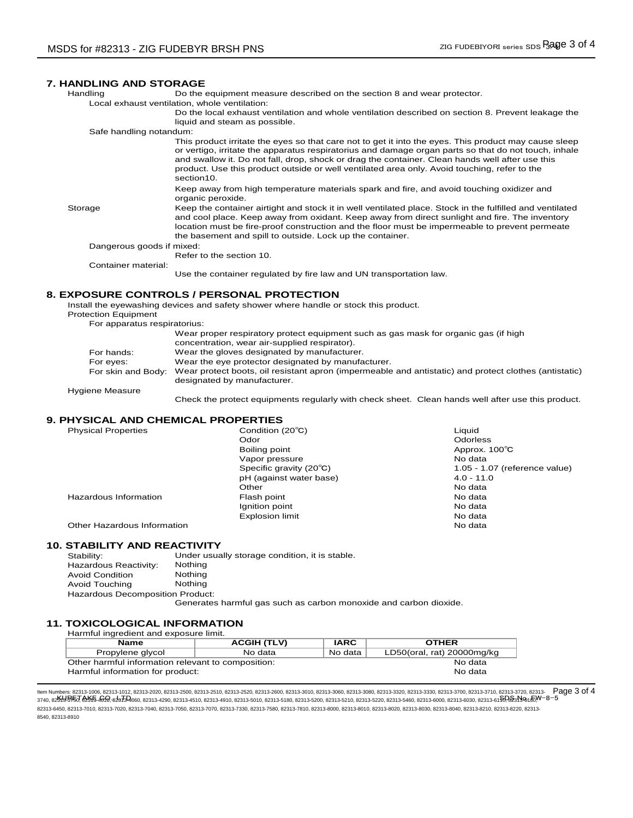#### **7. HANDLING AND STORAGE**

Handling Do the equipment measure described on the section 8 and wear protector.

Local exhaust ventilation, whole ventilation:

Do the local exhaust ventilation and whole ventilation described on section 8. Prevent leakage the liquid and steam as possible.

Safe handling notandum:

This product irritate the eyes so that care not to get it into the eyes. This product may cause sleep or vertigo, irritate the apparatus respiratorius and damage organ parts so that do not touch, inhale and swallow it. Do not fall, drop, shock or drag the container. Clean hands well after use this product. Use this product outside or well ventilated area only. Avoid touching, refer to the section10.

Keep away from high temperature materials spark and fire, and avoid touching oxidizer and organic peroxide.

Storage Keep the container airtight and stock it in well ventilated place. Stock in the fulfilled and ventilated and cool place. Keep away from oxidant. Keep away from direct sunlight and fire. The inventory location must be fire-proof construction and the floor must be impermeable to prevent permeate the basement and spill to outside. Lock up the container.

Dangerous goods if mixed:

Refer to the section 10.

Container material:

Use the container regulated by fire law and UN transportation law.

#### **8. EXPOSURE CONTROLS / PERSONAL PROTECTION**

Install the eyewashing devices and safety shower where handle or stock this product.

Protection Equipment

| For apparatus respiratorius: |                                                                                                                                      |
|------------------------------|--------------------------------------------------------------------------------------------------------------------------------------|
|                              | Wear proper respiratory protect equipment such as gas mask for organic gas (if high<br>concentration, wear air-supplied respirator). |
| For hands:                   | Wear the gloves designated by manufacturer.                                                                                          |
| For eyes:                    | Wear the eye protector designated by manufacturer.                                                                                   |
| For skin and Body:           | Wear protect boots, oil resistant apron (impermeable and antistatic) and protect clothes (antistatic)<br>designated by manufacturer. |

Hygiene Measure

Check the protect equipments regularly with check sheet. Clean hands well after use this product.

### **9. PHYSICAL AND CHEMICAL PROPERTIES**

| <b>Physical Properties</b>  | Condition (20°C)        | Liquid                        |
|-----------------------------|-------------------------|-------------------------------|
|                             | Odor                    | <b>Odorless</b>               |
|                             | Boiling point           | Approx. 100°C                 |
|                             | Vapor pressure          | No data                       |
|                             | Specific gravity (20°C) | 1.05 - 1.07 (reference value) |
|                             | pH (against water base) | $4.0 - 11.0$                  |
|                             | Other                   | No data                       |
| Hazardous Information       | Flash point             | No data                       |
|                             | Ignition point          | No data                       |
|                             | <b>Explosion limit</b>  | No data                       |
| Other Hazardous Information |                         | No data                       |

#### **10. STABILITY AND REACTIVITY**

| Stability:                       | Under usually storage condition, it is stable. |
|----------------------------------|------------------------------------------------|
| Hazardous Reactivity:            | <b>Nothing</b>                                 |
| <b>Avoid Condition</b>           | Nothing                                        |
| Avoid Touching                   | Nothina                                        |
| Hazardous Decomposition Product: |                                                |

Generates harmful gas such as carbon monoxide and carbon dioxide.

#### **11. TOXICOLOGICAL INFORMATION**

| Harmful ingredient and exposure limit.             |                    |         |                            |
|----------------------------------------------------|--------------------|---------|----------------------------|
| <b>Name</b>                                        | <b>ACGIH (TLV)</b> | IARC.   | <b>OTHER</b>               |
| Propylene glycol                                   | No data            | No data | LD50(oral, rat) 20000mg/kg |
| Other harmful information relevant to composition: |                    | No data |                            |
| Harmful information for product:                   |                    |         | No data                    |

KURETAKE CO., LTD. SDS No. FW-8-5 3740, 82313-3750, 82313-4010, 82313-4060, 82313-4290, 82313-4510, 82313-4910, 82313-5010, 82313-5180, 82313-5200, 82313-5210, 82313-5220, 82313-5460, 82313-6000, 82313-6030, 82313-6110, 82313-6180, ltem Numbers: 82313-1006, 82313-1012, 82313-2020, 82313-2500, 82313-2510, 82313-2520, 82313-3310, 82313-3030, 82313-3330, 82313-3330, 82313-3730, 82313-3710, 82313-3720, 82313-3710, 82313-3720, 82313-3720, 82313-3720, 8231 82313-6450, 82313-7010, 82313-7020, 82313-7040, 82313-7050, 82313-7330, 82313-7580, 82313-7810, 82313-8010, 82313-8010, 82313-8020, 82313-8030, 82313-8040, 82313-8040, 82313-8040, 82313-8040, 82313-8040, 82313-8220, 82313-8 8540, 82313-8910